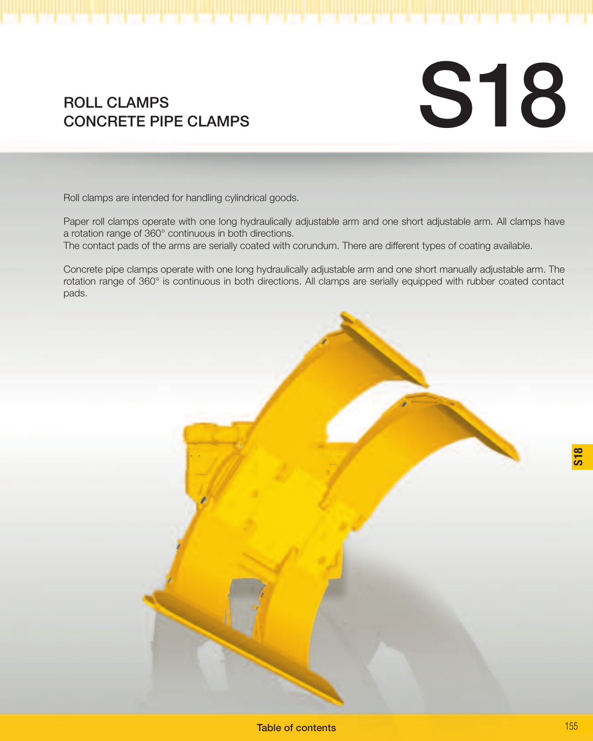# **S18**

## ROLL CLAMPS<br>CONCRETE PIPE CLAMPS

Roll clamps are intended for handling cylindrical goods.

Paper roll clamps operate with one long hydraulically adjustable arm and one short adjustable arm. All clamps have a rotation range of 360° continuous in both directions.

The contact pads of the arms are serially coated with corundum. There are different types of coating available.

Concrete pipe clamps operate with one long hydraulically adjustable arm and one short manually adjustable arm. The rotation range of 360° is continuous in both directions. All clamps are serially equipped with rubber coated contact pads.



**S18**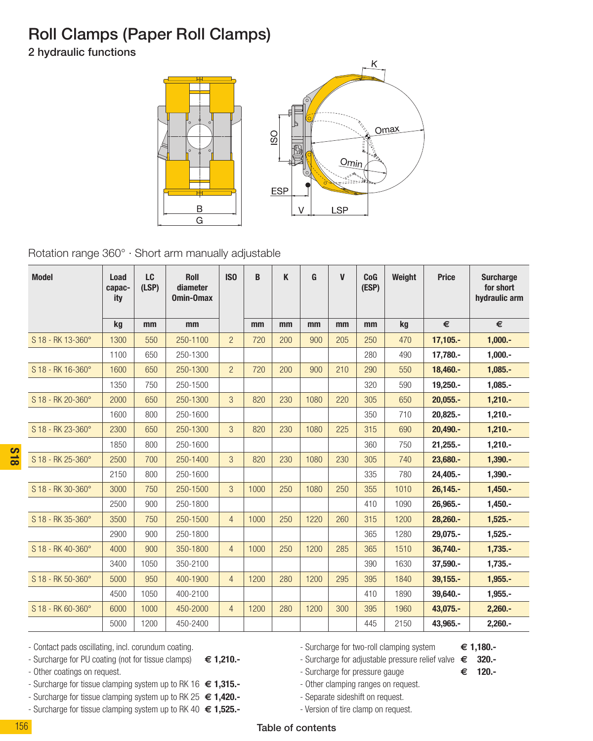### Roll Clamps (Paper Roll Clamps)

2 hydraulic functions



Rotation range 360° · Short arm manually adjustable

| <b>Model</b>      | Load<br>capac-<br>ity | LC<br>(LSP) | <b>Roll</b><br>diameter<br>Omin-Omax | IS <sub>0</sub> | B    | K   | G    | $\mathbf{V}$ | CoG<br>(ESP) | Weight | <b>Price</b> | <b>Surcharge</b><br>for short<br>hydraulic arm |
|-------------------|-----------------------|-------------|--------------------------------------|-----------------|------|-----|------|--------------|--------------|--------|--------------|------------------------------------------------|
|                   | kg                    | mm          | mm                                   |                 | mm   | mm  | mm   | mm           | mm           | kg     | €            | €                                              |
| S 18 - RK 13-360° | 1300                  | 550         | 250-1100                             | $\overline{a}$  | 720  | 200 | 900  | 205          | 250          | 470    | $17,105. -$  | $1,000. -$                                     |
|                   | 1100                  | 650         | 250-1300                             |                 |      |     |      |              | 280          | 490    | 17,780.-     | $1,000.-$                                      |
| S 18 - RK 16-360° | 1600                  | 650         | 250-1300                             | $\overline{2}$  | 720  | 200 | 900  | 210          | 290          | 550    | 18,460 .-    | $1,085. -$                                     |
|                   | 1350                  | 750         | 250-1500                             |                 |      |     |      |              | 320          | 590    | $19,250. -$  | $1,085. -$                                     |
| S 18 - RK 20-360° | 2000                  | 650         | 250-1300                             | 3               | 820  | 230 | 1080 | 220          | 305          | 650    | $20,055. -$  | $1,210. -$                                     |
|                   | 1600                  | 800         | 250-1600                             |                 |      |     |      |              | 350          | 710    | $20.825.-$   | $1.210 -$                                      |
| S 18 - RK 23-360° | 2300                  | 650         | 250-1300                             | 3               | 820  | 230 | 1080 | 225          | 315          | 690    | $20.490 -$   | $1.210 -$                                      |
|                   | 1850                  | 800         | 250-1600                             |                 |      |     |      |              | 360          | 750    | $21,255. -$  | $1.210 -$                                      |
| S 18 - RK 25-360° | 2500                  | 700         | 250-1400                             | 3               | 820  | 230 | 1080 | 230          | 305          | 740    | 23,680 .-    | $1.390 -$                                      |
|                   | 2150                  | 800         | 250-1600                             |                 |      |     |      |              | 335          | 780    | 24.405.-     | $1.390 -$                                      |
| S 18 - RK 30-360° | 3000                  | 750         | 250-1500                             | 3               | 1000 | 250 | 1080 | 250          | 355          | 1010   | $26.145. -$  | $1.450 -$                                      |
|                   | 2500                  | 900         | 250-1800                             |                 |      |     |      |              | 410          | 1090   | 26.965.-     | $1,450. -$                                     |
| S 18 - RK 35-360° | 3500                  | 750         | 250-1500                             | $\overline{4}$  | 1000 | 250 | 1220 | 260          | 315          | 1200   | 28,260.-     | $1,525. -$                                     |
|                   | 2900                  | 900         | 250-1800                             |                 |      |     |      |              | 365          | 1280   | 29.075.-     | $1.525 -$                                      |
| S 18 - RK 40-360° | 4000                  | 900         | 350-1800                             | $\overline{4}$  | 1000 | 250 | 1200 | 285          | 365          | 1510   | $36.740 -$   | $1.735 -$                                      |
|                   | 3400                  | 1050        | 350-2100                             |                 |      |     |      |              | 390          | 1630   | 37,590.-     | $1,735. -$                                     |
| S 18 - RK 50-360° | 5000                  | 950         | 400-1900                             | $\overline{4}$  | 1200 | 280 | 1200 | 295          | 395          | 1840   | $39,155. -$  | $1,955. -$                                     |
|                   | 4500                  | 1050        | 400-2100                             |                 |      |     |      |              | 410          | 1890   | 39.640.-     | $1,955. -$                                     |
| S 18 - RK 60-360° | 6000                  | 1000        | 450-2000                             | $\overline{4}$  | 1200 | 280 | 1200 | 300          | 395          | 1960   | 43,075.-     | $2,260. -$                                     |
|                   | 5000                  | 1200        | 450-2400                             |                 |      |     |      |              | 445          | 2150   | 43,965.-     | $2,260. -$                                     |

- Surcharge for PU coating (not for tissue clamps) **€ 1,210.-**
- Other coatings on request.
- Surcharge for tissue clamping system up to RK 16 **€ 1,315.-**
- Surcharge for tissue clamping system up to RK 25 **€ 1,420.-**
- Surcharge for tissue clamping system up to RK 40 **€ 1,525.-**

- Surcharge for two-roll clamping system **€ 1,180.-**

- Surcharge for adjustable pressure relief valve **€ 320.-**

- Surcharge for pressure gauge **€ 120.-**

- Other clamping ranges on request.
- Separate sideshift on request.
- Version of tire clamp on request.

156

**S18**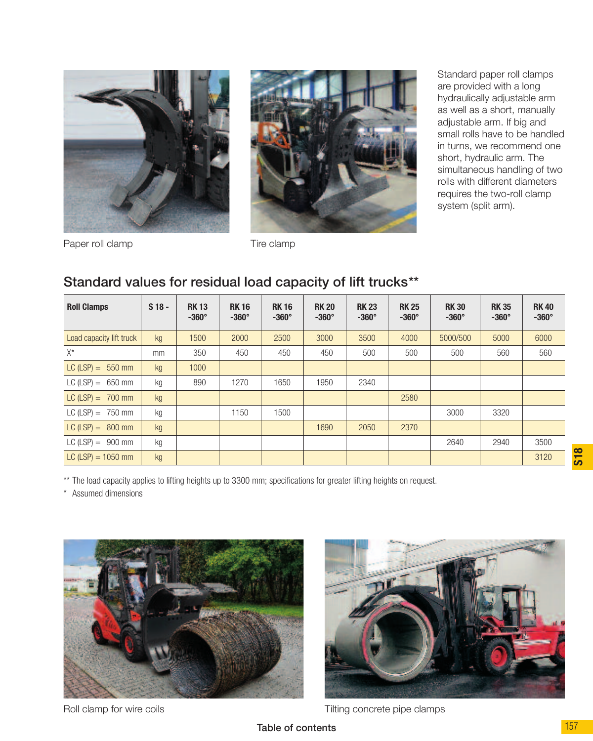



Standard paper roll clamps are provided with a long hydraulically adjustable arm as well as a short, manually adjustable arm. If big and small rolls have to be handled in turns, we recommend one short, hydraulic arm. The simultaneous handling of two rolls with different diameters requires the two-roll clamp system (split arm).

Paper roll clamp Tire clamp

#### Standard values for residual load capacity of lift trucks\*\*

| <b>Roll Clamps</b>       | $S18 -$ | <b>RK13</b><br>$-360^\circ$ | <b>RK16</b><br>$-360^\circ$ | <b>RK16</b><br>$-360^\circ$ | <b>RK 20</b><br>$-360^\circ$ | <b>RK23</b><br>$-360^\circ$ | <b>RK 25</b><br>$-360^\circ$ | <b>RK30</b><br>$-360^\circ$ | <b>RK35</b><br>$-360^\circ$ | <b>RK40</b><br>$-360^\circ$ |
|--------------------------|---------|-----------------------------|-----------------------------|-----------------------------|------------------------------|-----------------------------|------------------------------|-----------------------------|-----------------------------|-----------------------------|
| Load capacity lift truck | kg      | 1500                        | 2000                        | 2500                        | 3000                         | 3500                        | 4000                         | 5000/500                    | 5000                        | 6000                        |
| $X^*$                    | mm      | 350                         | 450                         | 450                         | 450                          | 500                         | 500                          | 500                         | 560                         | 560                         |
| LC $(LSP) = 550$ mm      | kq      | 1000                        |                             |                             |                              |                             |                              |                             |                             |                             |
| LC $(LSP) = 650$ mm      | kg      | 890                         | 1270                        | 1650                        | 1950                         | 2340                        |                              |                             |                             |                             |
| $LC (LSP) = 700$ mm      | kg      |                             |                             |                             |                              |                             | 2580                         |                             |                             |                             |
| $LC (LSP) = 750$ mm      | kg      |                             | 1150                        | 1500                        |                              |                             |                              | 3000                        | 3320                        |                             |
| $LC (LSP) = 800$ mm      | kg      |                             |                             |                             | 1690                         | 2050                        | 2370                         |                             |                             |                             |
| LC $(LSP) = 900$ mm      | kg      |                             |                             |                             |                              |                             |                              | 2640                        | 2940                        | 3500                        |
| $LC (LSP) = 1050$ mm     | kg      |                             |                             |                             |                              |                             |                              |                             |                             | 3120                        |

\*\* The load capacity applies to lifting heights up to 3300 mm; specifications for greater lifting heights on request.

\* Assumed dimensions





Roll clamp for wire coils Tilting concrete pipe clamps

**S18**